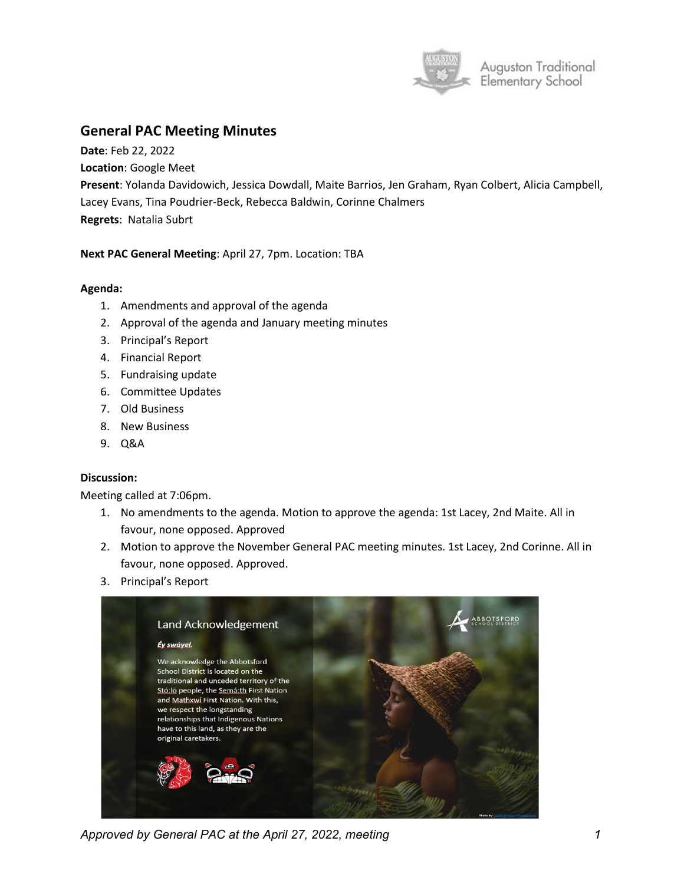

# **General PAC Meeting Minutes**

**Date**: Feb 22, 2022 **Location**: Google Meet **Present**: Yolanda Davidowich, Jessica Dowdall, Maite Barrios, Jen Graham, Ryan Colbert, Alicia Campbell, Lacey Evans, Tina Poudrier-Beck, Rebecca Baldwin, Corinne Chalmers **Regrets**: Natalia Subrt

## **Next PAC General Meeting**: April 27, 7pm. Location: TBA

### **Agenda:**

- 1. Amendments and approval of the agenda
- 2. Approval of the agenda and January meeting minutes
- 3. Principal's Report
- 4. Financial Report
- 5. Fundraising update
- 6. Committee Updates
- 7. Old Business
- 8. New Business
- 9. Q&A

## **Discussion:**

Meeting called at 7:06pm.

- 1. No amendments to the agenda. Motion to approve the agenda: 1st Lacey, 2nd Maite. All in favour, none opposed. Approved
- 2. Motion to approve the November General PAC meeting minutes. 1st Lacey, 2nd Corinne. All in favour, none opposed. Approved.
- 3. Principal's Report



*Approved by General PAC at the April 27, 2022, meeting 1*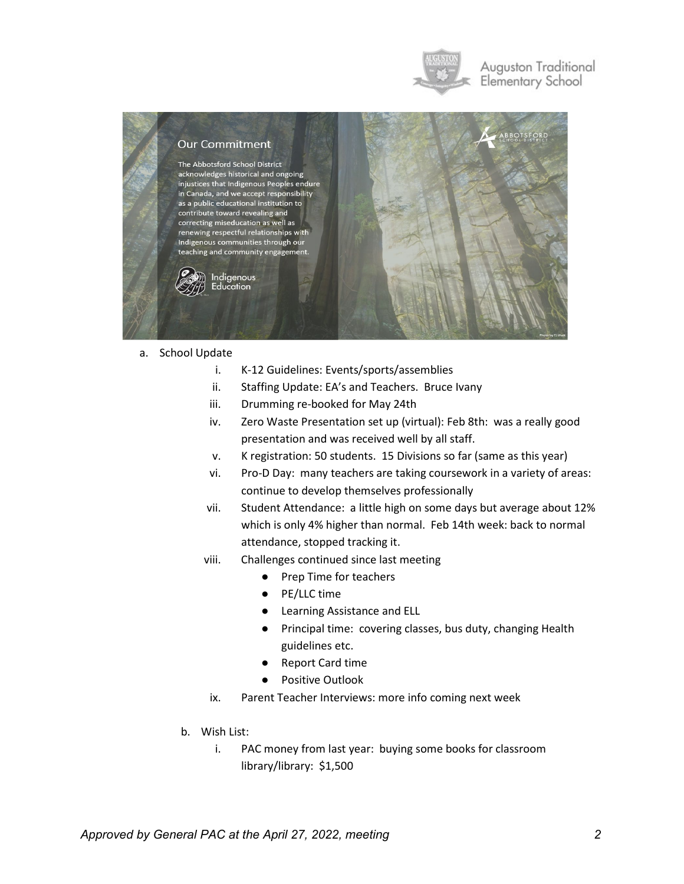

## Auguston Traditional Elementary School



#### a. School Update

- i. K-12 Guidelines: Events/sports/assemblies
- ii. Staffing Update: EA's and Teachers. Bruce Ivany
- iii. Drumming re-booked for May 24th
- iv. Zero Waste Presentation set up (virtual): Feb 8th: was a really good presentation and was received well by all staff.
- v. K registration: 50 students. 15 Divisions so far (same as this year)
- vi. Pro-D Day: many teachers are taking coursework in a variety of areas: continue to develop themselves professionally
- vii. Student Attendance: a little high on some days but average about 12% which is only 4% higher than normal. Feb 14th week: back to normal attendance, stopped tracking it.
- viii. Challenges continued since last meeting
	- Prep Time for teachers
	- PE/LLC time
	- Learning Assistance and ELL
	- Principal time: covering classes, bus duty, changing Health guidelines etc.
	- Report Card time
	- Positive Outlook
	- ix. Parent Teacher Interviews: more info coming next week
- b. Wish List:
	- i. PAC money from last year: buying some books for classroom library/library: \$1,500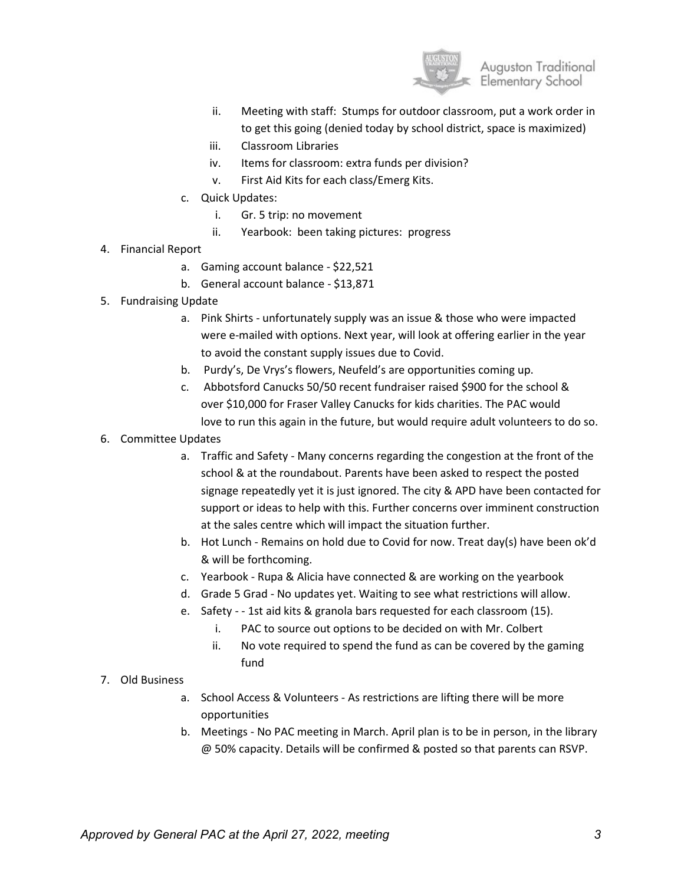

- ii. Meeting with staff: Stumps for outdoor classroom, put a work order in to get this going (denied today by school district, space is maximized)
- iii. Classroom Libraries
- iv. Items for classroom: extra funds per division?
- v. First Aid Kits for each class/Emerg Kits.
- c. Quick Updates:
	- i. Gr. 5 trip: no movement
	- ii. Yearbook: been taking pictures: progress
- 4. Financial Report
	- a. Gaming account balance \$22,521
	- b. General account balance \$13,871
- 5. Fundraising Update
	- a. Pink Shirts unfortunately supply was an issue & those who were impacted were e-mailed with options. Next year, will look at offering earlier in the year to avoid the constant supply issues due to Covid.
	- b. Purdy's, De Vrys's flowers, Neufeld's are opportunities coming up.
	- c. Abbotsford Canucks 50/50 recent fundraiser raised \$900 for the school & over \$10,000 for Fraser Valley Canucks for kids charities. The PAC would love to run this again in the future, but would require adult volunteers to do so.
- 6. Committee Updates
	- a. Traffic and Safety Many concerns regarding the congestion at the front of the school & at the roundabout. Parents have been asked to respect the posted signage repeatedly yet it is just ignored. The city & APD have been contacted for support or ideas to help with this. Further concerns over imminent construction at the sales centre which will impact the situation further.
	- b. Hot Lunch Remains on hold due to Covid for now. Treat day(s) have been ok'd & will be forthcoming.
	- c. Yearbook Rupa & Alicia have connected & are working on the yearbook
	- d. Grade 5 Grad No updates yet. Waiting to see what restrictions will allow.
	- e. Safety - 1st aid kits & granola bars requested for each classroom (15).
		- i. PAC to source out options to be decided on with Mr. Colbert
		- ii. No vote required to spend the fund as can be covered by the gaming fund

## 7. Old Business

- a. School Access & Volunteers As restrictions are lifting there will be more opportunities
- b. Meetings No PAC meeting in March. April plan is to be in person, in the library @ 50% capacity. Details will be confirmed & posted so that parents can RSVP.